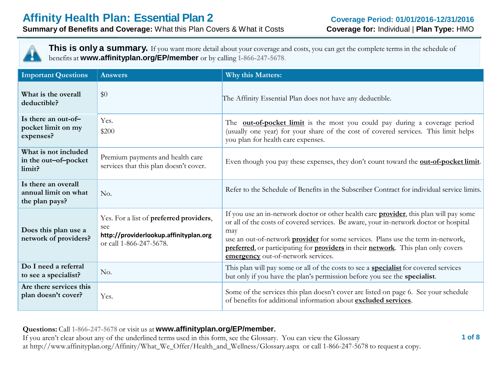

**This is only a summary.** If you want more detail about your coverage and costs, you can get the complete terms in the schedule of benefits at **www.affinityplan.org/EP/member** or by calling **1-866-247-5678**.

| <b>Important Questions</b>                                    | <b>Answers</b>                                                                                                      | <b>Why this Matters:</b>                                                                                                                                                                                                                                                                                                                                                                                             |
|---------------------------------------------------------------|---------------------------------------------------------------------------------------------------------------------|----------------------------------------------------------------------------------------------------------------------------------------------------------------------------------------------------------------------------------------------------------------------------------------------------------------------------------------------------------------------------------------------------------------------|
| What is the overall<br>deductible?                            | \$0                                                                                                                 | The Affinity Essential Plan does not have any deductible.                                                                                                                                                                                                                                                                                                                                                            |
| Is there an out-of-<br>pocket limit on my<br>expenses?        | Yes.<br>\$200                                                                                                       | The <b>out-of-pocket limit</b> is the most you could pay during a coverage period<br>(usually one year) for your share of the cost of covered services. This limit helps<br>you plan for health care expenses.                                                                                                                                                                                                       |
| What is not included<br>in the out-of-pocket<br>limit?        | Premium payments and health care<br>services that this plan doesn't cover.                                          | Even though you pay these expenses, they don't count toward the <b>out-of-pocket limit</b> .                                                                                                                                                                                                                                                                                                                         |
| Is there an overall<br>annual limit on what<br>the plan pays? | No.                                                                                                                 | Refer to the Schedule of Benefits in the Subscriber Contract for individual service limits.                                                                                                                                                                                                                                                                                                                          |
| Does this plan use a<br>network of providers?                 | Yes. For a list of preferred providers,<br>see<br>http://providerlookup.affinityplan.org<br>or call 1-866-247-5678. | If you use an in-network doctor or other health care <b>provider</b> , this plan will pay some<br>or all of the costs of covered services. Be aware, your in-network doctor or hospital<br>may<br>use an out-of-network <b>provider</b> for some services. Plans use the term in-network,<br>preferred, or participating for providers in their network. This plan only covers<br>emergency out-of-network services. |
| Do I need a referral<br>to see a specialist?                  | No.                                                                                                                 | This plan will pay some or all of the costs to see a <b>specialist</b> for covered services<br>but only if you have the plan's permission before you see the <b>specialist</b> .                                                                                                                                                                                                                                     |
| Are there services this<br>plan doesn't cover?                | Yes.                                                                                                                | Some of the services this plan doesn't cover are listed on page 6. See your schedule<br>of benefits for additional information about excluded services.                                                                                                                                                                                                                                                              |

**Questions:** Call **1-866-247-5678** or visit us at **www.affinityplan.org/EP/member.**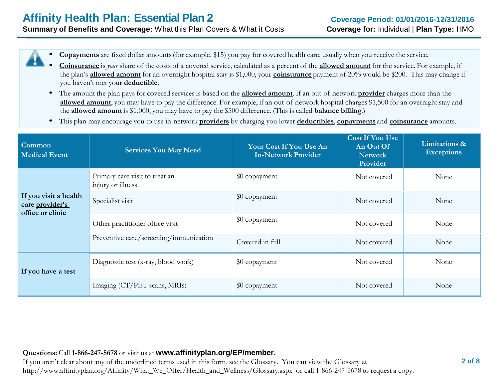• **Copayments** are fixed dollar amounts(for example, \$15) you pay for covered health care, usually when you receive the service.

- **Coinsurance** is *your* share of the costs of <sup>a</sup> covered service, calculated as a percent of the **allowed amount** for the service. For example, if the plan's **allowed amount** for an overnight hospital stay is \$1,000, your **coinsurance** payment of 20% would be \$200. This may change if you haven't met your **deductible**.
- The amount the plan pays for covered services is based on the **allowed amount**. If an out-of-network **provider** charges more than the **allowed amount**, you may have to pay the difference. For example, if an out-of-network hospital charges \$1,500 for an overnight stay and the **allowed amount** is \$1,000, you may have to pay the \$500 difference. (This is called **balance billing**.)
- This plan may encourage you to use in-network **providers** by charging you lower **deductibles**, **copayments** and **coinsurance** amounts.

| Common<br><b>Medical Event</b>                               | <b>Services You May Need</b>                        | Your Cost If You Use An<br><b>In-Network Provider</b> | <b>Cost If You Use</b><br>An Out Of<br><b>Network</b><br>Provider | Limitations &<br><b>Exceptions</b> |
|--------------------------------------------------------------|-----------------------------------------------------|-------------------------------------------------------|-------------------------------------------------------------------|------------------------------------|
|                                                              | Primary care visit to treat an<br>injury or illness | \$0 copayment                                         | Not covered                                                       | None                               |
| If you visit a health<br>care provider's<br>office or clinic | Specialist visit                                    | \$0 copayment                                         | Not covered                                                       | None                               |
|                                                              | Other practitioner office visit                     | \$0 copayment                                         | Not covered                                                       | None                               |
|                                                              | Preventive care/screening/immunization              | Covered in full                                       | Not covered                                                       | None                               |
| If you have a test                                           | Diagnostic test (x-ray, blood work)                 | \$0 copayment                                         | Not covered                                                       | None                               |
|                                                              | Imaging (CT/PET scans, MRIs)                        | \$0 copayment                                         | Not covered                                                       | None                               |

#### **Questions:** Call **1-866-247-5678** or visit us at **www.affinityplan.org/EP/member.**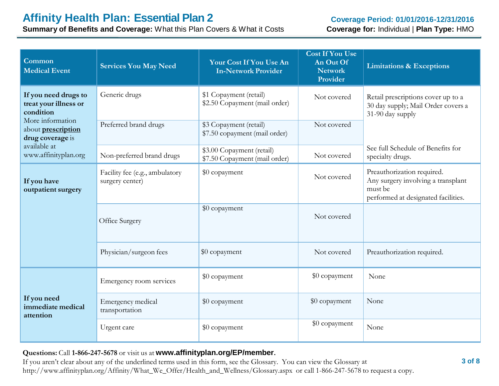**Summary of Benefits and Coverage:** What this Plan Covers & What it Costs

| Common<br><b>Medical Event</b>                                    | <b>Services You May Need</b>                      | Your Cost If You Use An<br><b>In-Network Provider</b>      | <b>Cost If You Use</b><br>An Out Of<br><b>Network</b><br>Provider | <b>Limitations &amp; Exceptions</b>                                                                                |
|-------------------------------------------------------------------|---------------------------------------------------|------------------------------------------------------------|-------------------------------------------------------------------|--------------------------------------------------------------------------------------------------------------------|
| If you need drugs to<br>treat your illness or<br>condition        | Generic drugs                                     | \$1 Copayment (retail)<br>\$2.50 Copayment (mail order)    | Not covered                                                       | Retail prescriptions cover up to a<br>30 day supply; Mail Order covers a<br>31-90 day supply                       |
| More information<br>about <i>prescription</i><br>drug coverage is | Preferred brand drugs                             | \$3 Copayment (retail)<br>\$7.50 copayment (mail order)    | Not covered                                                       |                                                                                                                    |
| available at<br>www.affinityplan.org                              | Non-preferred brand drugs                         | \$3.00 Copayment (retail)<br>\$7.50 Copayment (mail order) | Not covered                                                       | See full Schedule of Benefits for<br>specialty drugs.                                                              |
| If you have<br>outpatient surgery                                 | Facility fee (e.g., ambulatory<br>surgery center) | \$0 copayment                                              | Not covered                                                       | Preauthorization required.<br>Any surgery involving a transplant<br>must be<br>performed at designated facilities. |
|                                                                   | Office Surgery                                    | \$0 copayment                                              | Not covered                                                       |                                                                                                                    |
|                                                                   | Physician/surgeon fees                            | \$0 copayment                                              | Not covered                                                       | Preauthorization required.                                                                                         |
|                                                                   | Emergency room services                           | \$0 copayment                                              | \$0 copayment                                                     | None                                                                                                               |
| If you need<br>immediate medical<br>attention                     | Emergency medical<br>transportation               | \$0 copayment                                              | \$0 copayment                                                     | None                                                                                                               |
|                                                                   | Urgent care                                       | \$0 copayment                                              | \$0 copayment                                                     | None                                                                                                               |

#### **Questions:** Call **1-866-247-5678** or visit us at **www.affinityplan.org/EP/member.**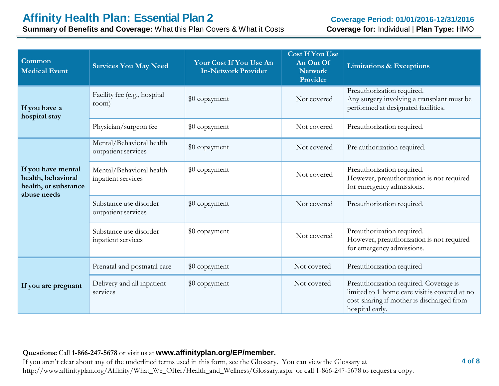**Summary of Benefits and Coverage:** What this Plan Covers & What it Costs

| Common<br><b>Medical Event</b>                                                  | <b>Services You May Need</b>                    | Your Cost If You Use An<br><b>In-Network Provider</b> | <b>Cost If You Use</b><br>An Out Of<br><b>Network</b><br>Provider | <b>Limitations &amp; Exceptions</b>                                                                                                                     |
|---------------------------------------------------------------------------------|-------------------------------------------------|-------------------------------------------------------|-------------------------------------------------------------------|---------------------------------------------------------------------------------------------------------------------------------------------------------|
| If you have a<br>hospital stay                                                  | Facility fee (e.g., hospital<br>room)           | \$0 copayment                                         | Not covered                                                       | Preauthorization required.<br>Any surgery involving a transplant must be<br>performed at designated facilities.                                         |
|                                                                                 | Physician/surgeon fee                           | \$0 copayment                                         | Not covered                                                       | Preauthorization required.                                                                                                                              |
|                                                                                 | Mental/Behavioral health<br>outpatient services | \$0 copayment                                         | Not covered                                                       | Pre authorization required.                                                                                                                             |
| If you have mental<br>health, behavioral<br>health, or substance<br>abuse needs | Mental/Behavioral health<br>inpatient services  | \$0 copayment                                         | Not covered                                                       | Preauthorization required.<br>However, preauthorization is not required<br>for emergency admissions.                                                    |
|                                                                                 | Substance use disorder<br>outpatient services   | \$0 copayment                                         | Not covered                                                       | Preauthorization required.                                                                                                                              |
|                                                                                 | Substance use disorder<br>inpatient services    | \$0 copayment                                         | Not covered                                                       | Preauthorization required.<br>However, preauthorization is not required<br>for emergency admissions.                                                    |
|                                                                                 | Prenatal and postnatal care                     | \$0 copayment                                         | Not covered                                                       | Preauthorization required                                                                                                                               |
| If you are pregnant                                                             | Delivery and all inpatient<br>services          | \$0 copayment                                         | Not covered                                                       | Preauthorization required. Coverage is<br>limited to 1 home care visit is covered at no<br>cost-sharing if mother is discharged from<br>hospital early. |

#### **Questions:** Call **1-866-247-5678** or visit us at **www.affinityplan.org/EP/member.**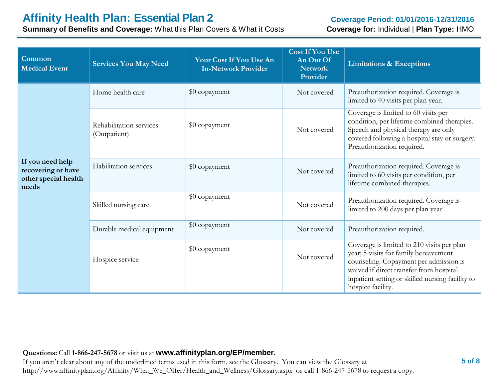# **Affinity Health Plan: Essential Plan 2**

**Summary of Benefits and Coverage:** What this Plan Covers & What it Costs

#### **Coverage Period: 01/01/2016-12/31/2016 Coverage for:** Individual | **Plan Type:** HMO

| Common<br><b>Medical Event</b>                                          | <b>Services You May Need</b>            | Your Cost If You Use An<br><b>In-Network Provider</b> | <b>Cost If You Use</b><br>An Out Of<br><b>Network</b><br>Provider | <b>Limitations &amp; Exceptions</b>                                                                                                                                                                                                               |
|-------------------------------------------------------------------------|-----------------------------------------|-------------------------------------------------------|-------------------------------------------------------------------|---------------------------------------------------------------------------------------------------------------------------------------------------------------------------------------------------------------------------------------------------|
|                                                                         | Home health care                        | \$0 copayment                                         | Not covered                                                       | Preauthorization required. Coverage is<br>limited to 40 visits per plan year.                                                                                                                                                                     |
|                                                                         | Rehabilitation services<br>(Outpatient) | \$0 copayment                                         | Not covered                                                       | Coverage is limited to 60 visits per<br>condition, per lifetime combined therapies.<br>Speech and physical therapy are only<br>covered following a hospital stay or surgery.<br>Preauthorization required.                                        |
| If you need help<br>recovering or have<br>other special health<br>needs | Habilitation services                   | \$0 copayment                                         | Not covered                                                       | Preauthorization required. Coverage is<br>limited to 60 visits per condition, per<br>lifetime combined therapies.                                                                                                                                 |
|                                                                         | Skilled nursing care                    | \$0 copayment                                         | Not covered                                                       | Preauthorization required. Coverage is<br>limited to 200 days per plan year.                                                                                                                                                                      |
|                                                                         | Durable medical equipment               | \$0 copayment                                         | Not covered                                                       | Preauthorization required.                                                                                                                                                                                                                        |
|                                                                         | Hospice service                         | \$0 copayment                                         | Not covered                                                       | Coverage is limited to 210 visits per plan<br>year; 5 visits for family bereavement<br>counseling. Copayment per admission is<br>waived if direct transfer from hospital<br>inpatient setting or skilled nursing facility to<br>hospice facility. |

#### **Questions:** Call **1-866-247-5678** or visit us at **www.affinityplan.org/EP/member.**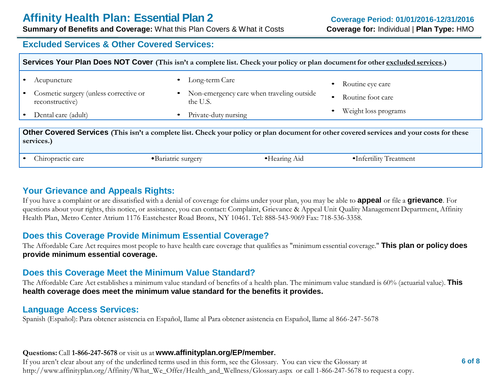**Summary of Benefits and Coverage:** What this Plan Covers & What it Costs

### **Excluded Services & Other Covered Services:**

| Services Your Plan Does NOT Cover (This isn't a complete list. Check your policy or plan document for other excluded services.)                          |                                                      |                                           |                                       |  |
|----------------------------------------------------------------------------------------------------------------------------------------------------------|------------------------------------------------------|-------------------------------------------|---------------------------------------|--|
| Acupuncture<br>Cosmetic surgery (unless corrective or<br>reconstructive)                                                                                 | Long-term Care<br>$\bullet$<br>$\bullet$<br>the U.S. | Non-emergency care when traveling outside | Routine eye care<br>Routine foot care |  |
| Dental care (adult)                                                                                                                                      | Private-duty nursing<br>$\bullet$                    |                                           | Weight loss programs                  |  |
| Other Covered Services (This isn't a complete list. Check your policy or plan document for other covered services and your costs for these<br>services.) |                                                      |                                           |                                       |  |
| Chiropractic care                                                                                                                                        | • Bariatric surgery                                  | •Hearing Aid                              | •Infertility Treatment                |  |

# **Your Grievance and Appeals Rights:**

If you have a complaint or are dissatisfied with a denial of coverage for claims under your plan, you may be able to **appeal** or file a **grievance**. For questions about your rights, this notice, or assistance, you can contact: Complaint, Grievance & Appeal Unit Quality Management Department, Affinity Health Plan, Metro Center Atrium 1176 Eastchester Road Bronx, NY 10461. Tel: 888-543-9069 Fax: 718-536-3358.

# **Does this Coverage Provide Minimum Essential Coverage?**

The Affordable Care Act requires most people to have health care coverage that qualifies as "minimum essential coverage." **This plan or policy does provide minimum essential coverage.**

# **Does this Coverage Meet the Minimum Value Standard?**

The Affordable Care Act establishes a minimum value standard of benefits of a health plan. The minimum value standard is 60% (actuarial value). **This health coverage does meet the minimum value standard for the benefits it provides.**

### **Language Access Services:**

Spanish (Español): Para obtener asistencia en Español, llame al Para obtener asistencia en Español, llame al 866-247-5678

#### **Questions:** Call **1-866-247-5678** or visit us at **www.affinityplan.org/EP/member.**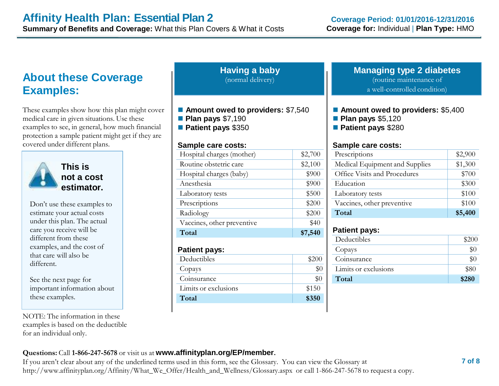# **About these Coverage Examples:**

These examples show how this plan might cover medical care in given situations. Use these examples to see, in general, how much financial protection a sample patient might get if they are covered under different plans.



**This is not a cost estimator.**

Don't use these examples to estimate your actual costs under this plan. The actual care you receive will be different from these examples, and the cost of that care will also be different.

See the next page for important information about these examples.

NOTE: The information in these examples is based on the deductible for an individual only.

| <b>Having a baby</b><br>(normal delivery)                                                                   |         |  |
|-------------------------------------------------------------------------------------------------------------|---------|--|
| ■ Amount owed to providers: \$7,540<br><b>Plan pays \$7,190</b><br>Patient pays \$350<br>Sample care costs: |         |  |
| Hospital charges (mother)                                                                                   | \$2,700 |  |
| Routine obstetric care                                                                                      | \$2,100 |  |
| Hospital charges (baby)                                                                                     | \$900   |  |
| Anesthesia                                                                                                  | \$900   |  |
| Laboratory tests                                                                                            | \$500   |  |
| Prescriptions                                                                                               | \$200   |  |
| Radiology                                                                                                   | \$200   |  |
| Vaccines, other preventive                                                                                  | \$40    |  |
| Total                                                                                                       | \$7,540 |  |
| <b>Patient pays:</b>                                                                                        |         |  |
| Deductibles                                                                                                 | \$200   |  |
| Copays                                                                                                      | $\$0$   |  |

| Copays               |       |
|----------------------|-------|
| Coinsurance          |       |
| Limits or exclusions | \$150 |
| Total                | \$350 |

## **Managing type 2 diabetes**

(routine maintenance of

a well-controlled condition)

### ■ Amount owed to providers: \$5,400

- **Plan pays** \$5,120
- **Patient pays** \$280

#### **Sample care costs:**

| Prescriptions                  | \$2,900 |
|--------------------------------|---------|
| Medical Equipment and Supplies | \$1,300 |
| Office Visits and Procedures   | \$700   |
| Education                      | \$300   |
| Laboratory tests               | \$100   |
| Vaccines, other preventive     | \$100   |
| Total                          | \$5,400 |

## **Patient pays:**

| Deductibles          | \$200 |
|----------------------|-------|
| Copays               |       |
| Coinsurance          |       |
| Limits or exclusions | \$80  |
| Total                | \$280 |

## **Questions:** Call **1-866-247-5678** or visit us at **www.affinityplan.org/EP/member.**